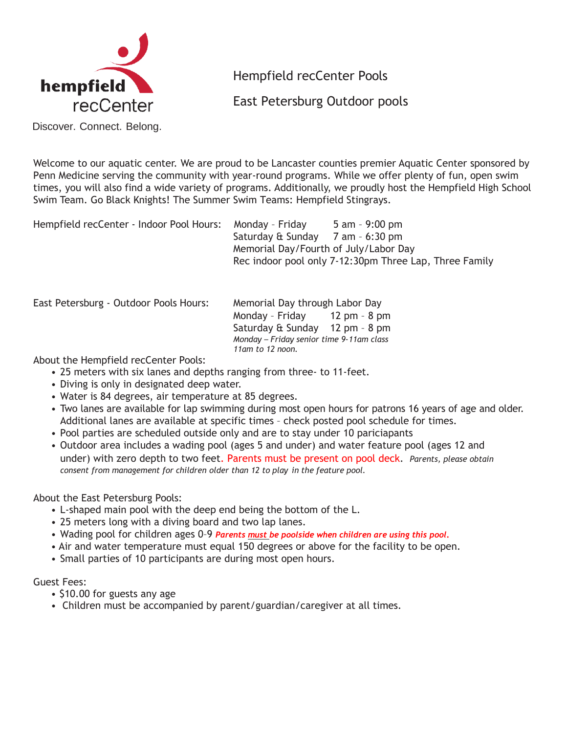

Hempfield recCenter Pools

East Petersburg Outdoor pools

Discover. Connect. Belong.

Welcome to our aquatic center. We are proud to be Lancaster counties premier Aquatic Center sponsored by Penn Medicine serving the community with year-round programs. While we offer plenty of fun, open swim times, you will also find a wide variety of programs. Additionally, we proudly host the Hempfield High School Swim Team. Go Black Knights! The Summer Swim Teams: Hempfield Stingrays.

| Hempfield recCenter - Indoor Pool Hours:<br>Monday - Friday | 5 am - 9:00 pm                                         |
|-------------------------------------------------------------|--------------------------------------------------------|
| Saturday & Sunday 7 am - 6:30 pm                            |                                                        |
| Memorial Day/Fourth of July/Labor Day                       |                                                        |
|                                                             | Rec indoor pool only 7-12:30pm Three Lap, Three Family |
|                                                             |                                                        |

East Petersburg - Outdoor Pools Hours: Memorial Day through Labor Day

Monday – Friday 12 pm – 8 pm Saturday & Sunday 12 pm – 8 pm *Monday – Friday senior time 9-11am class 11am to 12 noon.*

About the Hempfield recCenter Pools:

- 25 meters with six lanes and depths ranging from three- to 11-feet.
- Diving is only in designated deep water.
- Water is 84 degrees, air temperature at 85 degrees.
- Two lanes are available for lap swimming during most open hours for patrons 16 years of age and older. Additional lanes are available at specific times – check posted pool schedule for times.
- Pool parties are scheduled outside only and are to stay under 10 pariciapants
- Outdoor area includes a wading pool (ages 5 and under) and water feature pool (ages 12 and under) with zero depth to two feet. Parents must be present on pool deck. *Parents, please obtain consent from management for children older than 12 to play in the feature pool.*

About the East Petersburg Pools:

- L-shaped main pool with the deep end being the bottom of the L.
- 25 meters long with a diving board and two lap lanes.
- Wading pool for children ages 0–9 *Parents must be poolside when children are using this pool***.**
- Air and water temperature must equal 150 degrees or above for the facility to be open.
- Small parties of 10 participants are during most open hours.

## Guest Fees:

- \$10.00 for guests any age
- Children must be accompanied by parent/guardian/caregiver at all times.